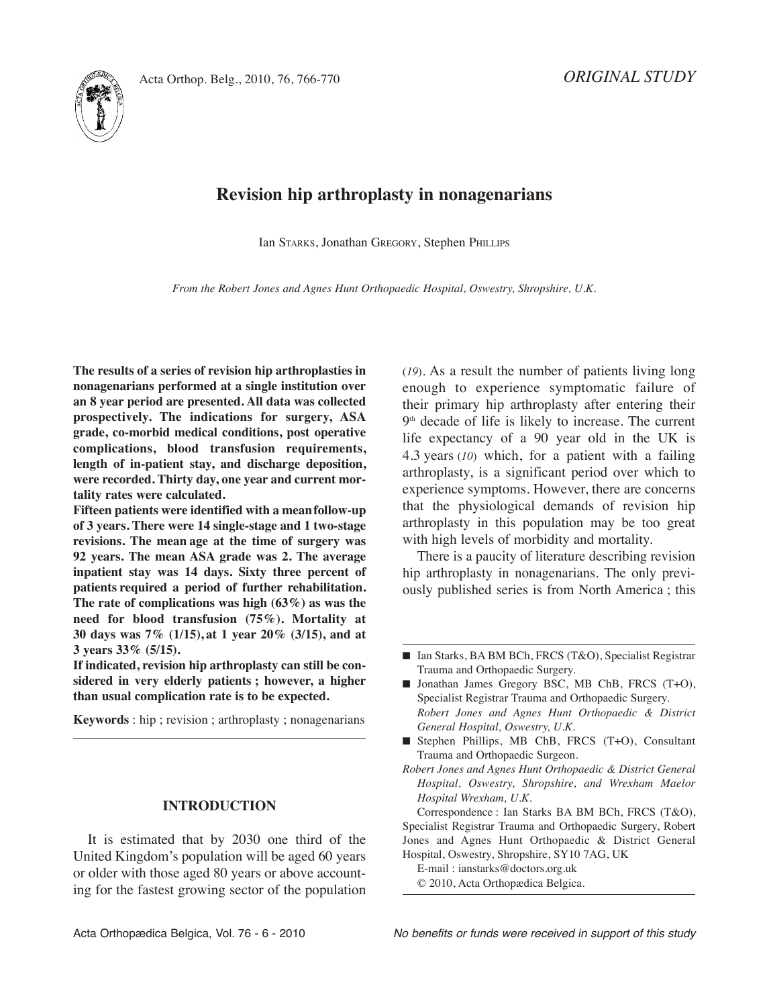



# **Revision hip arthroplasty in nonagenarians**

Ian STARKS, Jonathan GREGORY, Stephen PHIllIPS

*From the Robert Jones and Agnes Hunt Orthopaedic Hospital, Oswestry, Shropshire, U.K.*

**The results of a series of revision hip arthroplasties in nonagenarians performed at a single institution over an 8 year period are presented. All data was collected prospectively. The indications for surgery, ASA grade, co-morbid medical conditions, post operative complications, blood transfusion requirements, length of in-patient stay, and discharge deposition, were recorded. Thirty day, one year and current mortality rates were calculated.**

**Fifteen patients were identified with a meanfollow-up of 3 years. There were 14 single-stage and 1 two-stage revisions. The mean age at the time of surgery was 92 years. The mean ASA grade was 2. The average inpatient stay was 14 days. Sixty three percent of patients required a period of further rehabilitation. The rate of complications was high (63%) as was the need for blood transfusion (75%). Mortality at 30 days was 7% (1/15), at 1 year 20% (3/15), and at 3 years 33% (5/15).**

**If indicated, revision hip arthroplasty can still be considered in very elderly patients ; however, a higher than usual complication rate is to be expected.**

**Keywords** : hip ; revision ; arthroplasty ; nonagenarians

### **INTRODUCTION**

It is estimated that by 2030 one third of the United Kingdom's population will be aged 60 years or older with those aged 80 years or above accounting for the fastest growing sector of the population (*19*). As a result the number of patients living long enough to experience symptomatic failure of their primary hip arthroplasty after entering their 9<sup>th</sup> decade of life is likely to increase. The current life expectancy of a 90 year old in the UK is 4.3 years (*10*) which, for a patient with a failing arthroplasty, is a significant period over which to experience symptoms. However, there are concerns that the physiological demands of revision hip arthroplasty in this population may be too great with high levels of morbidity and mortality.

There is a paucity of literature describing revision hip arthroplasty in nonagenarians. The only previously published series is from North America ; this

Correspondence : Ian Starks BA BM BCh, FRCS (T&O), Specialist Registrar Trauma and Orthopaedic Surgery, Robert Jones and Agnes Hunt Orthopaedic & District General Hospital, Oswestry, Shropshire, SY10 7AG, UK

E-mail : ianstarks@doctors.org.uk © 2010, Acta Orthopædica Belgica.

<sup>■</sup> Ian Starks, BA BM BCh, FRCS (T&O), Specialist Registrar Trauma and Orthopaedic Surgery.

<sup>■</sup> Jonathan James Gregory BSC, MB ChB, FRCS (T+O), Specialist Registrar Trauma and Orthopaedic Surgery. *Robert Jones and Agnes Hunt Orthopaedic & District General Hospital, Oswestry, U.K.*

**<sup>■</sup>** Stephen Phillips, MB ChB, FRCS (T+O), Consultant Trauma and Orthopaedic Surgeon.

*Robert Jones and Agnes Hunt Orthopaedic & District General Hospital, Oswestry, Shropshire, and Wrexham Maelor Hospital Wrexham, U.K.*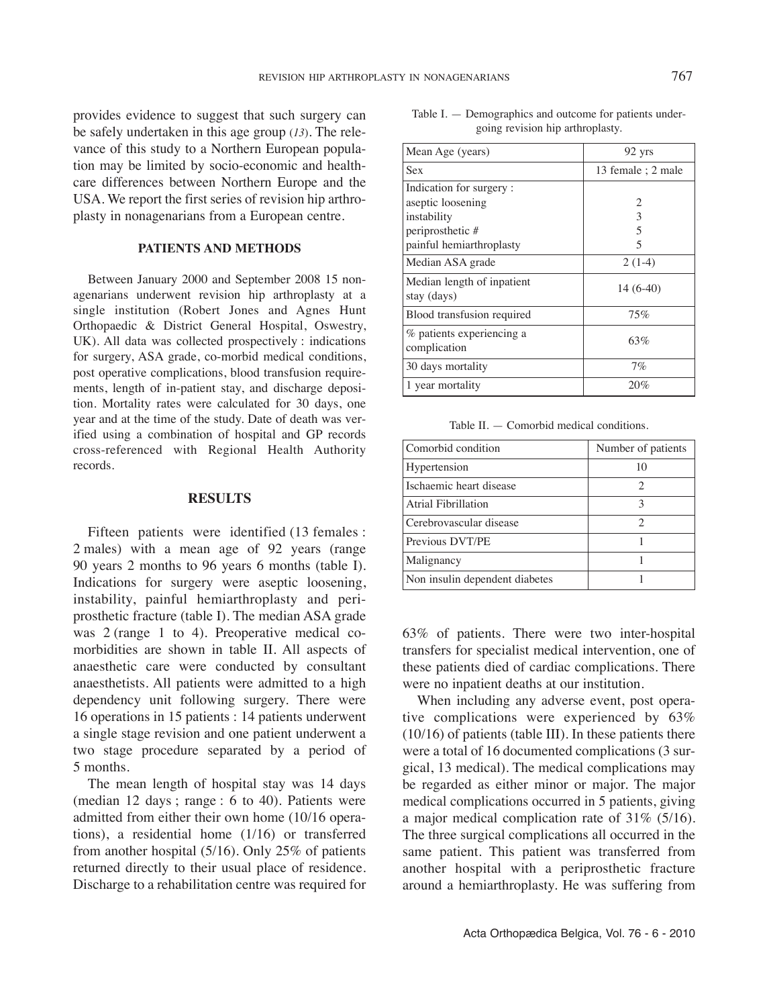provides evidence to suggest that such surgery can be safely undertaken in this age group (*13*)*.* The relevance of this study to a Northern European population may be limited by socio-economic and healthcare differences between Northern Europe and the USA. We report the first series of revision hip arthroplasty in nonagenarians from a European centre.

#### **PATIENTS AND METHODS**

Between January 2000 and September 2008 15 nonagenarians underwent revision hip arthroplasty at a single institution (Robert Jones and Agnes Hunt Orthopaedic & District General Hospital, Oswestry, UK). All data was collected prospectively : indications for surgery, ASA grade, co-morbid medical conditions, post operative complications, blood transfusion requirements, length of in-patient stay, and discharge deposition. Mortality rates were calculated for 30 days, one year and at the time of the study. Date of death was verified using a combination of hospital and GP records cross-referenced with Regional Health Authority records.

#### **RESULTS**

Fifteen patients were identified (13 females : 2 males) with a mean age of 92 years (range 90 years 2 months to 96 years 6 months (table I). Indications for surgery were aseptic loosening, instability, painful hemiarthroplasty and periprosthetic fracture (table I). The median ASA grade was 2 (range 1 to 4)*.* Preoperative medical comorbidities are shown in table II*.* All aspects of anaesthetic care were conducted by consultant anaesthetists. All patients were admitted to a high dependency unit following surgery. There were 16 operations in 15 patients : 14 patients underwent a single stage revision and one patient underwent a two stage procedure separated by a period of 5 months.

The mean length of hospital stay was 14 days (median 12 days ; range : 6 to 40). Patients were admitted from either their own home (10/16 operations), a residential home (1/16) or transferred from another hospital (5/16). Only 25% of patients returned directly to their usual place of residence. Discharge to a rehabilitation centre was required for

| Table I. $-$ Demographics and outcome for patients under- |  |
|-----------------------------------------------------------|--|
| going revision hip arthroplasty.                          |  |

| Mean Age (years)                          | 92 yrs                   |
|-------------------------------------------|--------------------------|
| <b>Sex</b>                                | 13 female : 2 male       |
| Indication for surgery:                   |                          |
| aseptic loosening                         | 2                        |
| instability                               | 3                        |
| periprosthetic #                          | $\overline{\mathcal{L}}$ |
| painful hemiarthroplasty                  | $\overline{\mathcal{L}}$ |
| Median ASA grade                          | $2(1-4)$                 |
| Median length of inpatient<br>stay (days) | 14 (6-40)                |
| Blood transfusion required                | 75%                      |
| % patients experiencing a<br>complication | 63%                      |
| 30 days mortality                         | 7%                       |
| 1 year mortality                          | 20%                      |

Table II. — Comorbid medical conditions.

| Comorbid condition             | Number of patients |
|--------------------------------|--------------------|
| Hypertension                   |                    |
| Ischaemic heart disease        |                    |
| Atrial Fibrillation            | 3                  |
| Cerebrovascular disease        |                    |
| Previous DVT/PE                |                    |
| Malignancy                     |                    |
| Non insulin dependent diabetes |                    |

63% of patients. There were two inter-hospital transfers for specialist medical intervention, one of these patients died of cardiac complications. There were no inpatient deaths at our institution.

When including any adverse event, post operative complications were experienced by 63% (10/16) of patients (table III). In these patients there were a total of 16 documented complications (3 surgical, 13 medical). The medical complications may be regarded as either minor or major. The major medical complications occurred in 5 patients, giving a major medical complication rate of 31% (5/16). The three surgical complications all occurred in the same patient. This patient was transferred from another hospital with a periprosthetic fracture around a hemiarthroplasty. He was suffering from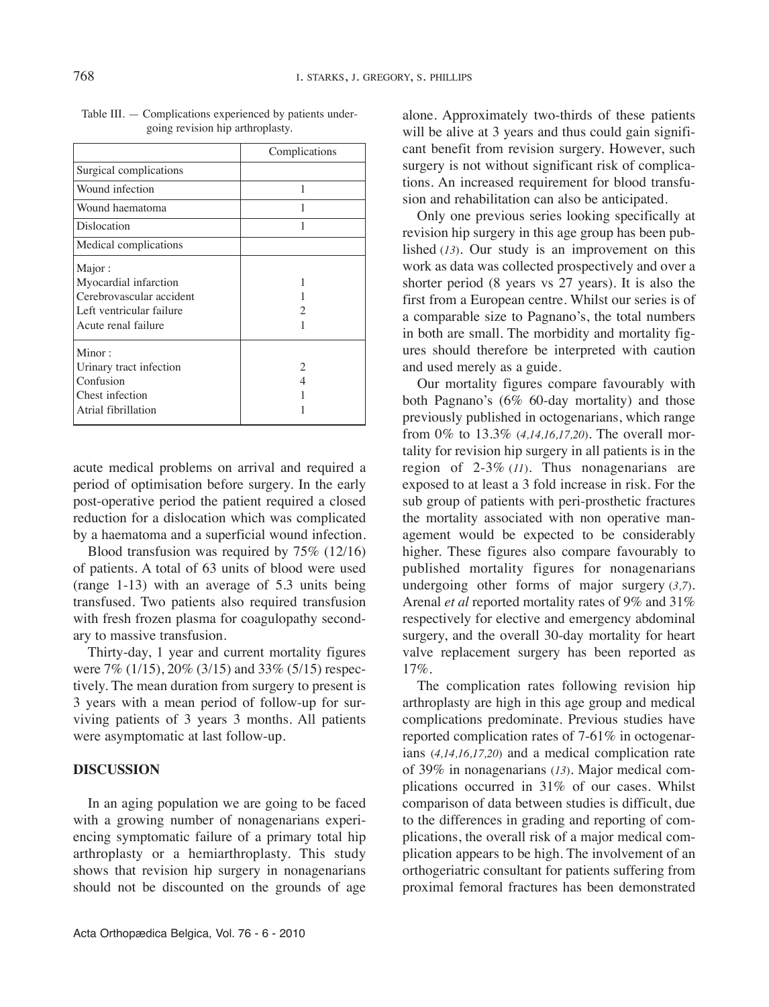| Complications |
|---------------|
|               |
| 1             |
|               |
|               |
|               |
|               |
| 1             |
|               |
|               |
|               |
|               |
| 2             |
|               |
|               |
|               |
|               |

Table III. — Complications experienced by patients undergoing revision hip arthroplasty.

acute medical problems on arrival and required a period of optimisation before surgery. In the early post-operative period the patient required a closed reduction for a dislocation which was complicated by a haematoma and a superficial wound infection.

Blood transfusion was required by 75% (12/16) of patients. A total of 63 units of blood were used (range 1-13) with an average of 5.3 units being transfused. Two patients also required transfusion with fresh frozen plasma for coagulopathy secondary to massive transfusion.

Thirty-day, 1 year and current mortality figures were 7% (1/15), 20% (3/15) and 33% (5/15) respectively. The mean duration from surgery to present is 3 years with a mean period of follow-up for surviving patients of 3 years 3 months. All patients were asymptomatic at last follow-up.

## **DISCUSSION**

In an aging population we are going to be faced with a growing number of nonagenarians experiencing symptomatic failure of a primary total hip arthroplasty or a hemiarthroplasty. This study shows that revision hip surgery in nonagenarians should not be discounted on the grounds of age

alone. Approximately two-thirds of these patients will be alive at 3 years and thus could gain significant benefit from revision surgery. However, such surgery is not without significant risk of complications. An increased requirement for blood transfusion and rehabilitation can also be anticipated.

Only one previous series looking specifically at revision hip surgery in this age group has been published (*13*)*.* Our study is an improvement on this work as data was collected prospectively and over a shorter period (8 years vs 27 years). It is also the first from a European centre. Whilst our series is of a comparable size to Pagnano's, the total numbers in both are small. The morbidity and mortality figures should therefore be interpreted with caution and used merely as a guide.

Our mortality figures compare favourably with both Pagnano's (6% 60-day mortality) and those previously published in octogenarians, which range from 0% to 13.3% (*4,14,16,17,20*)*.* The overall mortality for revision hip surgery in all patients is in the region of 2-3% (*11*). Thus nonagenarians are exposed to at least a 3 fold increase in risk. For the sub group of patients with peri-prosthetic fractures the mortality associated with non operative management would be expected to be considerably higher. These figures also compare favourably to published mortality figures for nonagenarians undergoing other forms of major surgery (*3,7*)*.* Arenal *et al* reported mortality rates of 9% and 31% respectively for elective and emergency abdominal surgery, and the overall 30-day mortality for heart valve replacement surgery has been reported as 17%.

The complication rates following revision hip arthroplasty are high in this age group and medical complications predominate. Previous studies have reported complication rates of 7-61% in octogenarians (*4,14,16,17,20*) and a medical complication rate of 39% in nonagenarians (*13*)*.* Major medical complications occurred in 31% of our cases. Whilst comparison of data between studies is difficult, due to the differences in grading and reporting of complications, the overall risk of a major medical complication appears to be high. The involvement of an orthogeriatric consultant for patients suffering from proximal femoral fractures has been demonstrated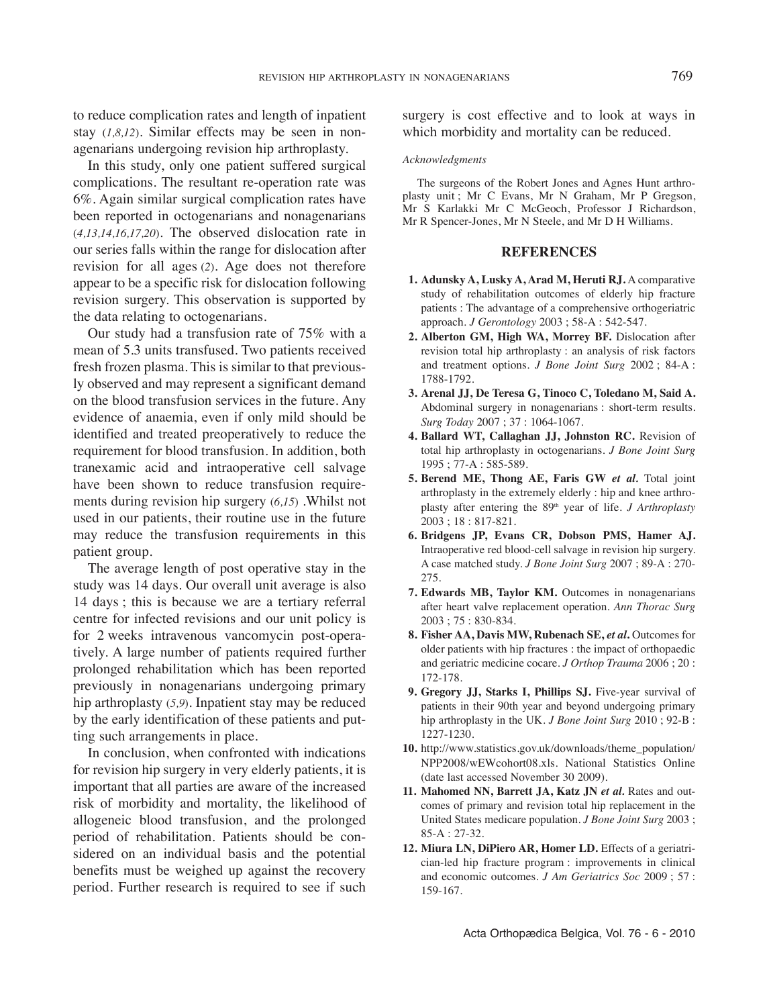to reduce complication rates and length of inpatient stay (*1,8,12*)*.* Similar effects may be seen in nonagenarians undergoing revision hip arthroplasty.

In this study, only one patient suffered surgical complications. The resultant re-operation rate was 6%. Again similar surgical complication rates have been reported in octogenarians and nonagenarians (*4,13,14,16,17,20*)*.* The observed dislocation rate in our series falls within the range for dislocation after revision for all ages (*2*)*.* Age does not therefore appear to be a specific risk for dislocation following revision surgery. This observation is supported by the data relating to octogenarians.

Our study had a transfusion rate of 75% with a mean of 5.3 units transfused. Two patients received fresh frozen plasma. This is similar to that previously observed and may represent a significant demand on the blood transfusion services in the future. Any evidence of anaemia, even if only mild should be identified and treated preoperatively to reduce the requirement for blood transfusion*.* In addition, both tranexamic acid and intraoperative cell salvage have been shown to reduce transfusion requirements during revision hip surgery (*6,15*) .Whilst not used in our patients, their routine use in the future may reduce the transfusion requirements in this patient group.

The average length of post operative stay in the study was 14 days. Our overall unit average is also 14 days ; this is because we are a tertiary referral centre for infected revisions and our unit policy is for 2 weeks intravenous vancomycin post-operatively. A large number of patients required further prolonged rehabilitation which has been reported previously in nonagenarians undergoing primary hip arthroplasty (*5,9*)*.* Inpatient stay may be reduced by the early identification of these patients and putting such arrangements in place.

In conclusion, when confronted with indications for revision hip surgery in very elderly patients, it is important that all parties are aware of the increased risk of morbidity and mortality, the likelihood of allogeneic blood transfusion, and the prolonged period of rehabilitation. Patients should be considered on an individual basis and the potential benefits must be weighed up against the recovery period. Further research is required to see if such surgery is cost effective and to look at ways in which morbidity and mortality can be reduced.

#### *Acknowledgments*

The surgeons of the Robert Jones and Agnes Hunt arthroplasty unit ; Mr C Evans, Mr N Graham, Mr P Gregson, Mr S Karlakki Mr C McGeoch, Professor J Richardson, Mr R Spencer-Jones, Mr N Steele, and Mr D H Williams.

### **REFERENCES**

- **1. Adunsky A, Lusky A, Arad M, Heruti RJ.** A comparative study of rehabilitation outcomes of elderly hip fracture patients : The advantage of a comprehensive orthogeriatric approach. *J Gerontology* 2003 ; 58-A : 542-547.
- **2. Alberton GM, High WA, Morrey BF.** Dislocation after revision total hip arthroplasty : an analysis of risk factors and treatment options. *J Bone Joint Surg* 2002 ; 84-A : 1788-1792.
- **3. Arenal JJ, De Teresa G, Tinoco C, Toledano M, Said A.** Abdominal surgery in nonagenarians : short-term results. *Surg Today* 2007 ; 37 : 1064-1067.
- **4. Ballard WT, Callaghan JJ, Johnston RC.** Revision of total hip arthroplasty in octogenarians. *J Bone Joint Surg* 1995 ; 77-A : 585-589.
- **5. Berend ME, Thong AE, Faris GW** *et al.* Total joint arthroplasty in the extremely elderly : hip and knee arthroplasty after entering the 89th year of life. *J Arthroplasty* 2003 ; 18 : 817-821.
- **6. Bridgens JP, Evans CR, Dobson PMS, Hamer AJ.** Intraoperative red blood-cell salvage in revision hip surgery. A case matched study. *J Bone Joint Surg* 2007 ; 89-A : 270- 275.
- **7. Edwards MB, Taylor KM.** Outcomes in nonagenarians after heart valve replacement operation. *Ann Thorac Surg* 2003 ; 75 : 830-834.
- **8. Fisher AA, Davis MW, Rubenach SE,** *et al***.** Outcomes for older patients with hip fractures : the impact of orthopaedic and geriatric medicine cocare. *J Orthop Trauma* 2006 ; 20 : 172-178.
- **9. Gregory JJ, Starks I, Phillips SJ.** Five-year survival of patients in their 90th year and beyond undergoing primary hip arthroplasty in the UK. *J Bone Joint Surg* 2010 ; 92-B : 1227-1230.
- **10.** http://www.statistics.gov.uk/downloads/theme\_population/ NPP2008/wEWcohort08.xls. National Statistics Online (date last accessed November 30 2009).
- **11. Mahomed NN, Barrett JA, Katz JN** *et al.* Rates and outcomes of primary and revision total hip replacement in the United States medicare population. *J Bone Joint Surg* 2003 ; 85-A : 27-32.
- **12. Miura LN, DiPiero AR, Homer LD.** Effects of a geriatrician-led hip fracture program : improvements in clinical and economic outcomes. *J Am Geriatrics Soc* 2009 ; 57 : 159-167.